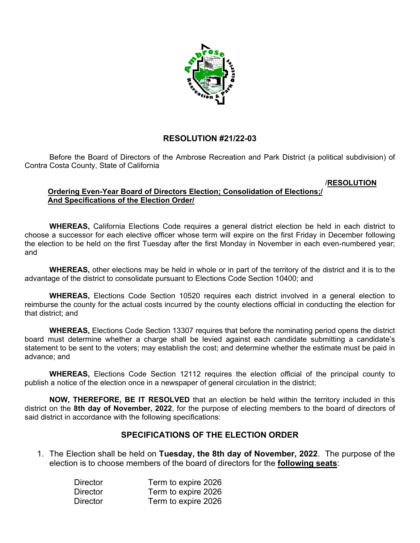

## **RESOLUTION #21/22-03**

Before the Board of Directors of the Ambrose Recreation and Park District (a political subdivision) of Contra Costa County, State of California

## /**RESOLUTION**

## **Ordering Even-Year Board of Directors Election; Consolidation of Elections;/ And Specifications of the Election Order/**

**WHEREAS,** California Elections Code requires a general district election be held in each district to choose a successor for each elective officer whose term will expire on the first Friday in December following the election to be held on the first Tuesday after the first Monday in November in each even-numbered year; and

**WHEREAS,** other elections may be held in whole or in part of the territory of the district and it is to the advantage of the district to consolidate pursuant to Elections Code Section 10400; and

**WHEREAS,** Elections Code Section 10520 requires each district involved in a general election to reimburse the county for the actual costs incurred by the county elections official in conducting the election for that district; and

**WHEREAS,** Elections Code Section 13307 requires that before the nominating period opens the district board must determine whether a charge shall be levied against each candidate submitting a candidate's statement to be sent to the voters; may establish the cost; and determine whether the estimate must be paid in advance; and

**WHEREAS,** Elections Code Section 12112 requires the election official of the principal county to publish a notice of the election once in a newspaper of general circulation in the district;

**NOW, THEREFORE, BE IT RESOLVED** that an election be held within the territory included in this district on the **8th day of November, 2022**, for the purpose of electing members to the board of directors of said district in accordance with the following specifications:

## **SPECIFICATIONS OF THE ELECTION ORDER**

1. The Election shall be held on **Tuesday, the 8th day of November, 2022**. The purpose of the election is to choose members of the board of directors for the **following seats**:

| <b>Director</b> | Term to expire 2026 |
|-----------------|---------------------|
| <b>Director</b> | Term to expire 2026 |
| <b>Director</b> | Term to expire 2026 |